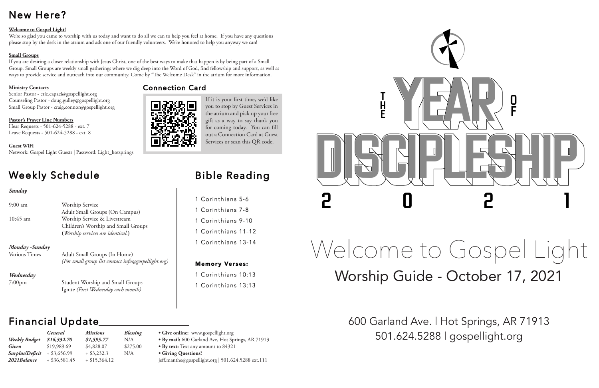# New Here?

# **Welcome to Gospel Light!**

We're so glad you came to worship with us today and want to do all we can to help you feel at home. If you have any questions please stop by the desk in the atrium and ask one of our friendly volunteers. We're honored to help you anyway we can!

# **Small Groups**

If you are desiring a closer relationship with Jesus Christ, one of the best ways to make that happen is by being part of a Small Group. Small Groups are weekly small gatherings where we dig deep into the Word of God, find fellowship and support, as well as ways to provide service and outreach into our community. Come by "The Welcome Desk" in the atrium for more information.

# **Ministry Contacts**

Senior Pastor - eric.capaci@gospellight.org Counseling Pastor - doug.gulley@gospellight.org Small Group Pastor - craig.connor@gospellight.org

**Pastor's Prayer Line Numbers** Hear Requests - 501-624-5288 - ext. 7 Leave Requests - 501-624-5288 - ext. 8

## **Guest WiFi**

Network: Gospel Light Guests | Password: Light\_hotsprings

# Weekly Schedule

# *Sunday*

| $9:00 \text{ am}$ | Worship Service<br>Adult Small Groups (On Campus)                                                        |  |  |
|-------------------|----------------------------------------------------------------------------------------------------------|--|--|
| $10:45$ am        | Worship Service & Livestream<br>Children's Worship and Small Groups<br>(Worship services are identical.) |  |  |
| Monday -Sunday    |                                                                                                          |  |  |
| Various Times     | Adult Small Groups (In Home)<br>(For small group list contact info@gospellight.org)                      |  |  |
| Wednesday         |                                                                                                          |  |  |
| $7:00$ pm         | <b>Student Worship and Small Groups</b><br>Ignite (First Wednesday each month)                           |  |  |

# Financial Update

If it is your first time, we'd like you to stop by Guest Services in the atrium and pick up your free gift as a way to say thank you for coming today. You can fill out a Connection Card at Guest Services or scan this QR code.

# Welcome to Gospel Light Worship Guide - October 17, 2021

600 Garland Ave. | Hot Springs, AR 71913 *Weekly Budget* 501.624.5288 | gospellight.org

|                 | <b>General</b>  | <b>Missions</b> | Blessing |
|-----------------|-----------------|-----------------|----------|
| Weekly Budget   | \$16,332.70     | \$1,595.77      | N/A      |
| <b>Given</b>    | \$19,989.69     | \$4,828.07      | \$275.00 |
| Surplus/Deficit | $+$ \$3,656.99  | $+$ \$3,232.3   | N/A      |
| 2021Balance     | $+$ \$36,581.45 | $+$ \$15,364.12 |          |

**• Give online:** www.gospellight.org

• By text: Text any amount to 84321

**• By mail:** 600 Garland Ave, Hot Springs, AR 71913

**• Giving Questions?**

jeff.manthe@gospellight.org | 501.624.5288 ext.111



# Bible Reading

1 Corinthians 5-6 1 Corinthians 7-8 1 Corinthians 9-10 1 Corinthians 11-12 1 Corinthians 13-14

# Memory Verses:

1 Corinthians 10:13 1 Corinthians 13:13

# Connection Card